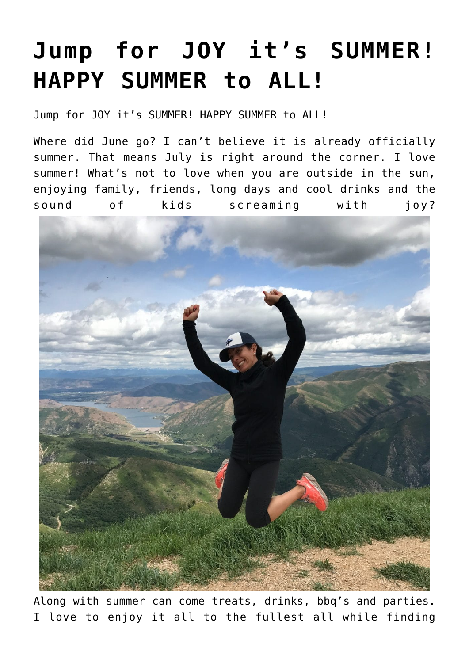## **[Jump for JOY it's SUMMER!](https://alethiatruefit.com/uncategorized/jump-for-joy-its-summer-happy-summer-to-all/) [HAPPY SUMMER to ALL!](https://alethiatruefit.com/uncategorized/jump-for-joy-its-summer-happy-summer-to-all/)**

Jump for JOY it's SUMMER! HAPPY SUMMER to ALL!

Where did June go? I can't believe it is already officially summer. That means July is right around the corner. I love summer! What's not to love when you are outside in the sun, enjoying family, friends, long days and cool drinks and the sound of kids screaming with joy?



Along with summer can come treats, drinks, bbq's and parties. I love to enjoy it all to the fullest all while finding